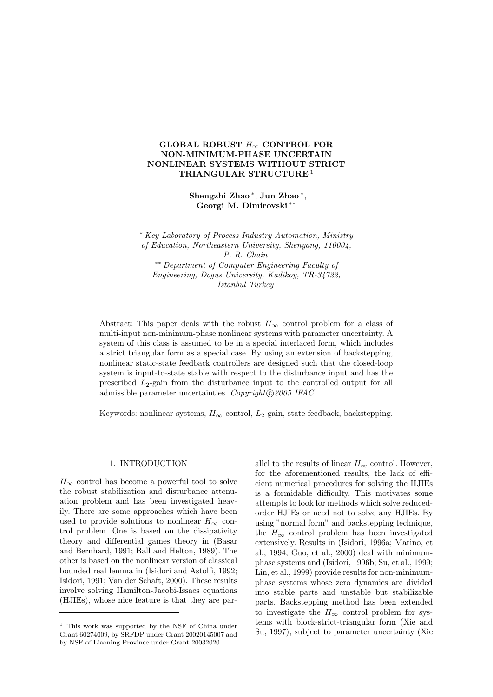# GLOBAL ROBUST  $H_{\infty}$  CONTROL FOR NON-MINIMUM-PHASE UNCERTAIN NONLINEAR SYSTEMS WITHOUT STRICT TRIANGULAR STRUCTURE <sup>1</sup>

Shengzhi Zhao <sup>∗</sup> , Jun Zhao <sup>∗</sup> , Georgi M. Dimirovski ∗∗

<sup>∗</sup> Key Laboratory of Process Industry Automation, Ministry of Education, Northeastern University, Shenyang, 110004, P. R. Chain ∗∗ Department of Computer Engineering Faculty of Engineering, Dogus University, Kadikoy, TR-34722, Istanbul Turkey

Abstract: This paper deals with the robust  $H_{\infty}$  control problem for a class of multi-input non-minimum-phase nonlinear systems with parameter uncertainty. A system of this class is assumed to be in a special interlaced form, which includes a strict triangular form as a special case. By using an extension of backstepping, nonlinear static-state feedback controllers are designed such that the closed-loop system is input-to-state stable with respect to the disturbance input and has the prescribed  $L_2$ -gain from the disturbance input to the controlled output for all admissible parameter uncertainties. Copyright $\odot$  2005 IFAC

Keywords: nonlinear systems,  $H_{\infty}$  control,  $L_2$ -gain, state feedback, backstepping.

### 1. INTRODUCTION

 $H_{\infty}$  control has become a powerful tool to solve the robust stabilization and disturbance attenuation problem and has been investigated heavily. There are some approaches which have been used to provide solutions to nonlinear  $H_{\infty}$  control problem. One is based on the dissipativity theory and differential games theory in (Basar and Bernhard, 1991; Ball and Helton, 1989). The other is based on the nonlinear version of classical bounded real lemma in (Isidori and Astolfi, 1992; Isidori, 1991; Van der Schaft, 2000). These results involve solving Hamilton-Jacobi-Issacs equations (HJIEs), whose nice feature is that they are parallel to the results of linear  $H_{\infty}$  control. However, for the aforementioned results, the lack of efficient numerical procedures for solving the HJIEs is a formidable difficulty. This motivates some attempts to look for methods which solve reducedorder HJIEs or need not to solve any HJIEs. By using "normal form" and backstepping technique, the  $H_{\infty}$  control problem has been investigated extensively. Results in (Isidori, 1996a; Marino, et al., 1994; Guo, et al., 2000) deal with minimumphase systems and (Isidori, 1996b; Su, et al., 1999; Lin, et al., 1999) provide results for non-minimumphase systems whose zero dynamics are divided into stable parts and unstable but stabilizable parts. Backstepping method has been extended to investigate the  $H_{\infty}$  control problem for systems with block-strict-triangular form (Xie and Su, 1997), subject to parameter uncertainty (Xie

<sup>1</sup> This work was supported by the NSF of China under Grant 60274009, by SRFDP under Grant 20020145007 and by NSF of Liaoning Province under Grant 20032020.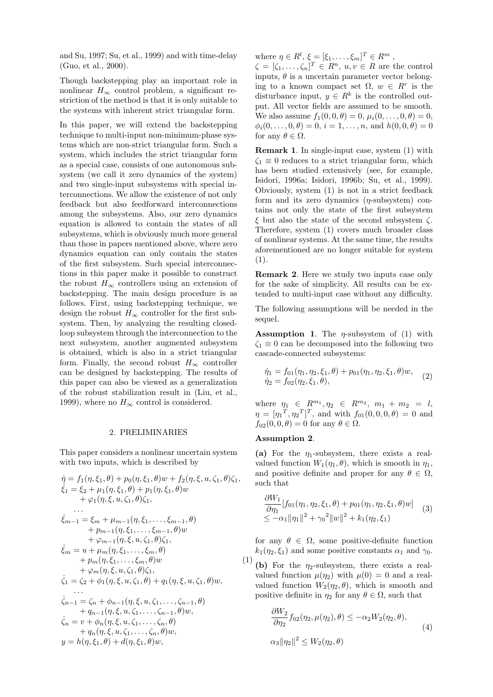and Su, 1997; Su, et al., 1999) and with time-delay (Guo, et al., 2000).

Though backstepping play an important role in nonlinear  $H_{\infty}$  control problem, a significant restriction of the method is that it is only suitable to the systems with inherent strict triangular form.

In this paper, we will extend the backstepping technique to multi-input non-minimum-phase systems which are non-strict triangular form. Such a system, which includes the strict triangular form as a special case, consists of one autonomous subsystem (we call it zero dynamics of the system) and two single-input subsystems with special interconnections. We allow the existence of not only feedback but also feedforward interconnections among the subsystems. Also, our zero dynamics equation is allowed to contain the states of all subsystems, which is obviously much more general than those in papers mentioned above, where zero dynamics equation can only contain the states of the first subsystem. Such special interconnections in this paper make it possible to construct the robust  $H_{\infty}$  controllers using an extension of backstepping. The main design procedure is as follows. First, using backstepping technique, we design the robust  $H_{\infty}$  controller for the first subsystem. Then, by analyzing the resulting closedloop subsystem through the interconnection to the next subsystem, another augmented subsystem is obtained, which is also in a strict triangular form. Finally, the second robust  $H_{\infty}$  controller can be designed by backstepping. The results of this paper can also be viewed as a generalization of the robust stabilization result in (Liu, et al., 1999), where no  $H_{\infty}$  control is considered.

## 2. PRELIMINARIES

This paper considers a nonlinear uncertain system with two inputs, which is described by

$$
\dot{\eta} = f_1(\eta, \xi_1, \theta) + p_0(\eta, \xi_1, \theta) w + f_2(\eta, \xi, u, \zeta_1, \theta) \zeta_1,\n\dot{\xi}_1 = \xi_2 + \mu_1(\eta, \xi_1, \theta) + p_1(\eta, \xi_1, \theta) w\n+ \varphi_1(\eta, \xi, u, \zeta_1, \theta) \zeta_1,\n...\n\dot{\xi}_{m-1} = \xi_m + \mu_{m-1}(\eta, \xi_1, \dots, \xi_{m-1}, \theta) \n+ p_{m-1}(\eta, \xi_1, \dots, \xi_{m-1}, \theta) w\n+ \varphi_{m-1}(\eta, \xi, u, \zeta_1, \theta) \zeta_1,\n\dot{\xi}_m = u + \mu_m(\eta, \xi_1, \dots, \xi_m, \theta) w\n+ p_m(\eta, \xi_1, \dots, \xi_m, \theta) w\n+ \varphi_m(\eta, \xi, u, \zeta_1, \theta) \zeta_1,\n\dot{\zeta}_1 = \zeta_2 + \varphi_1(\eta, \xi, u, \zeta_1, \theta) + q_1(\eta, \xi, u, \zeta_1, \theta) w,\n...\n\dot{\zeta}_{n-1} = \zeta_n + \phi_{n-1}(\eta, \xi, u, \zeta_1, \dots, \zeta_{n-1}, \theta) \n+ q_{n-1}(\eta, \xi, u, \zeta_1, \dots, \zeta_n, \theta) \n+ q_n(\eta, \xi, u, \zeta_1, \dots, \zeta_n, \theta) w,\n\dot{\zeta}_n = v + \phi_n(\eta, \xi, u, \zeta_1, \dots, \zeta_n, \theta) w,\ny = h(\eta, \xi_1, \theta) + d(\eta, \xi_1, \theta) w,
$$

where  $\eta \in R^l$ ,  $\xi = [\xi_1, \ldots, \xi_m]^T \in R^m$ ,

 $\zeta = [\zeta_1, \ldots, \zeta_n]^T \in R^n, u, v \in R$  are the control inputs,  $\theta$  is a uncertain parameter vector belonging to a known compact set  $\Omega$ ,  $w \in R^r$  is the disturbance input,  $y \in R^k$  is the controlled output. All vector fields are assumed to be smooth. We also assume  $f_1(0, 0, \theta) = 0, \mu_i(0, \ldots, 0, \theta) = 0$ ,  $\phi_i(0,\ldots,0,\theta) = 0, i = 1,\ldots,n$ , and  $h(0,0,\theta) = 0$ for any  $\theta \in \Omega$ .

Remark 1. In single-input case, system (1) with  $\zeta_1 \equiv 0$  reduces to a strict triangular form, which has been studied extensively (see, for example, Isidori, 1996a; Isidori, 1996b; Su, et al., 1999). Obviously, system (1) is not in a strict feedback form and its zero dynamics  $(\eta$ -subsystem) contains not only the state of the first subsystem  $\xi$  but also the state of the second subsystem  $\zeta$ . Therefore, system (1) covers much broader class of nonlinear systems. At the same time, the results aforementioned are no longer suitable for system (1).

Remark 2. Here we study two inputs case only for the sake of simplicity. All results can be extended to multi-input case without any difficulty.

The following assumptions will be needed in the sequel.

**Assumption 1.** The  $\eta$ -subsystem of (1) with  $\zeta_1 \equiv 0$  can be decomposed into the following two cascade-connected subsystems:

$$
\dot{\eta}_1 = f_{01}(\eta_1, \eta_2, \xi_1, \theta) + p_{01}(\eta_1, \eta_2, \xi_1, \theta)w,\n\dot{\eta}_2 = f_{02}(\eta_2, \xi_1, \theta),
$$
\n(2)

where  $\eta_1 \in R^{m_1}, \eta_2 \in R^{m_2}, m_1 + m_2 = l$ ,  $\eta = [\eta_1^T, \eta_2^T]^T$ , and with  $f_{01}(0, 0, 0, \theta) = 0$  and  $f_{02}(0, 0, \theta) = 0$  for any  $\theta \in \Omega$ .

## Assumption 2.

(a) For the  $\eta_1$ -subsystem, there exists a realvalued function  $W_1(\eta_1, \theta)$ , which is smooth in  $\eta_1$ , and positive definite and proper for any  $\theta \in \Omega$ , such that

$$
\frac{\partial W_1}{\partial \eta_1} [f_{01}(\eta_1, \eta_2, \xi_1, \theta) + p_{01}(\eta_1, \eta_2, \xi_1, \theta) w] \quad (3) \leq -\alpha_1 \|\eta_1\|^2 + \gamma_0^2 \|w\|^2 + k_1(\eta_2, \xi_1)
$$

for any  $\theta \in \Omega$ , some positive-definite function  $k_1(\eta_2, \xi_1)$  and some positive constants  $\alpha_1$  and  $\gamma_0$ .

(1) (b) For the  $\eta_2$ -subsystem, there exists a realvalued function  $\mu(\eta_2)$  with  $\mu(0) = 0$  and a realvalued function  $W_2(\eta_2, \theta)$ , which is smooth and positive definite in  $\eta_2$  for any  $\theta \in \Omega$ , such that

$$
\frac{\partial W_2}{\partial \eta_2} f_{02}(\eta_2, \mu(\eta_2), \theta) \le -\alpha_2 W_2(\eta_2, \theta),
$$
  

$$
\alpha_3 \|\eta_2\|^2 \le W_2(\eta_2, \theta)
$$
 (4)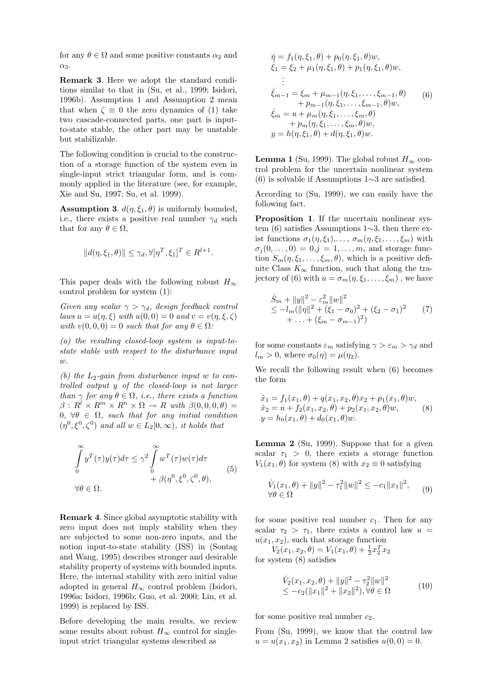for any  $\theta \in \Omega$  and some positive constants  $\alpha_2$  and  $\alpha_3$ .

Remark 3. Here we adopt the standard conditions similar to that in (Su, et al., 1999; Isidori, 1996b). Assumption 1 and Assumption 2 mean that when  $\zeta \equiv 0$  the zero dynamics of (1) take two cascade-connected parts, one part is inputto-state stable, the other part may be unstable but stabilizable.

The following condition is crucial to the construction of a storage function of the system even in single-input strict triangular form, and is commonly applied in the literature (see, for example, Xie and Su, 1997; Su, et al. 1999).

**Assumption 3.**  $d(\eta, \xi_1, \theta)$  is uniformly bounded, i.e., there exists a positive real number  $\gamma_d$  such that for any  $\theta \in \Omega$ ,

$$
||d(\eta, \xi_1, \theta)|| \leq \gamma_d, \forall [\eta^T, \xi_1]^T \in R^{l+1}.
$$

This paper deals with the following robust  $H_{\infty}$ control problem for system (1):

Given any scalar  $\gamma > \gamma_d$ , design feedback control laws  $u = u(\eta, \xi)$  with  $u(0, 0) = 0$  and  $v = v(\eta, \xi, \zeta)$ with  $v(0, 0, 0) = 0$  such that for any  $\theta \in \Omega$ :

(a) the resulting closed-loop system is input-tostate stable with respect to the disturbance input  $\overline{w}$ .

(b) the  $L_2$ -gain from disturbance input w to controlled output y of the closed-loop is not larger than  $\gamma$  for any  $\theta \in \Omega$ , i.e., there exists a function  $\beta: R^l \times R^m \times R^n \times \Omega \to R$  with  $\beta(0,0,0,\theta) =$ 0,  $\forall \theta \in \Omega$ , such that for any initial condition  $(\eta^0, \xi^0, \zeta^0)$  and all  $w \in L_2[0, \infty)$ , it holds that

$$
\int_{0}^{\infty} y^{T}(\tau)y(\tau)d\tau \leq \gamma^{2} \int_{0}^{\infty} w^{T}(\tau)w(\tau)d\tau \n+ \beta(\eta^{0}, \xi^{0}, \zeta^{0}, \theta),
$$
\n(5)

Remark 4. Since global asymptotic stability with zero input does not imply stability when they are subjected to some non-zero inputs, and the notion input-to-state stability (ISS) in (Sontag and Wang, 1995) describes stronger and desirable stability property of systems with bounded inputs. Here, the internal stability with zero initial value adopted in general  $H_{\infty}$  control problem (Isidori, 1996a; Isidori, 1996b; Guo, et al. 2000; Lin, et al. 1999) is replaced by ISS.

Before developing the main results, we review some results about robust  $H_{\infty}$  control for singleinput strict triangular systems described as

$$
\dot{\eta} = f_1(\eta, \xi_1, \theta) + p_0(\eta, \xi_1, \theta) w,\n\dot{\xi}_1 = \xi_2 + \mu_1(\eta, \xi_1, \theta) + p_1(\eta, \xi_1, \theta) w,\n\vdots\n\dot{\xi}_{m-1} = \xi_m + \mu_{m-1}(\eta, \xi_1, \dots, \xi_{m-1}, \theta) \n+ p_{m-1}(\eta, \xi_1, \dots, \xi_{m-1}, \theta) w,\n\dot{\xi}_m = u + \mu_m(\eta, \xi_1, \dots, \xi_m, \theta) \n+ p_m(\eta, \xi_1, \dots, \xi_m, \theta) w,\n\eta = h(\eta, \xi_1, \theta) + d(\eta, \xi_1, \theta) w.
$$
\n(9)

**Lemma 1** (Su, 1999). The global robust  $H_{\infty}$  control problem for the uncertain nonlinear system (6) is solvable if Assumptions 1∼3 are satisfied.

According to (Su, 1999), we can easily have the following fact.

Proposition 1. If the uncertain nonlinear system (6) satisfies Assumptions 1∼3, then there exist functions  $\sigma_1(\eta, \xi_1), \ldots, \sigma_m(\eta, \xi_1, \ldots, \xi_m)$  with  $\sigma_j(0,\ldots,0) = 0, j = 1,\ldots, m$ , and storage function  $S_m(\eta, \xi_1, \ldots, \xi_m, \theta)$ , which is a positive definite Class  $K_{\infty}$  function, such that along the trajectory of (6) with  $u = \sigma_m(\eta, \xi_1, \dots, \xi_m)$ , we have

$$
\dot{S}_m + ||y||^2 - \varepsilon_m^2 ||w||^2
$$
  
\n
$$
\leq -l_m (||\eta||^2 + (\xi_1 - \sigma_0)^2 + (\xi_2 - \sigma_1)^2
$$
  
\n
$$
+ \ldots + (\xi_m - \sigma_{m-1})^2)
$$
\n(7)

for some constants  $\varepsilon_m$  satisfying  $\gamma > \varepsilon_m > \gamma_d$  and  $l_m > 0$ , where  $\sigma_0(\eta) = \mu(\eta_2)$ .

We recall the following result when (6) becomes the form

$$
\begin{aligned}\n\dot{x}_1 &= f_1(x_1, \theta) + q(x_1, x_2, \theta)x_2 + p_1(x_1, \theta)w, \\
\dot{x}_2 &= u + f_2(x_1, x_2, \theta) + p_2(x_1, x_2, \theta)w, \\
y &= h_0(x_1, \theta) + d_0(x_1, \theta)w.\n\end{aligned} \tag{8}
$$

Lemma 2 (Su, 1999). Suppose that for a given scalar  $\tau_1 > 0$ , there exists a storage function  $V_1(x_1, \theta)$  for system (8) with  $x_2 \equiv 0$  satisfying

$$
\dot{V}_1(x_1, \theta) + ||y||^2 - \tau_1^2 ||w||^2 \le -c_1 ||x_1||^2, \qquad (9)
$$
  

$$
\forall \theta \in \Omega
$$

for some positive real number  $c_1$ . Then for any scalar  $\tau_2 > \tau_1$ , there exists a control law  $u =$  $u(x_1, x_2)$ , such that storage function

 $V_2(x_1, x_2, \theta) = V_1(x_1, \theta) + \frac{1}{2}x_2^T x_2$ for system (8) satisfies

$$
\dot{V}_2(x_1, x_2, \theta) + ||y||^2 - \tau_2^2 ||w||^2
$$
  
\n
$$
\leq -c_2 (||x_1||^2 + ||x_2||^2), \forall \theta \in \Omega
$$
\n(10)

for some positive real number  $c_2$ .

From (Su, 1999), we know that the control law  $u = u(x_1, x_2)$  in Lemma 2 satisfies  $u(0, 0) = 0$ .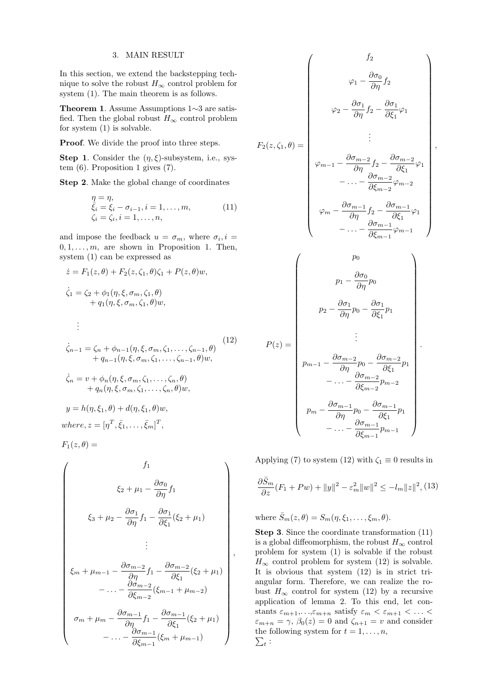### 3. MAIN RESULT

In this section, we extend the backstepping technique to solve the robust  $H_{\infty}$  control problem for system (1). The main theorem is as follows.

Theorem 1. Assume Assumptions 1∼3 are satisfied. Then the global robust  $H_{\infty}$  control problem for system (1) is solvable.

Proof. We divide the proof into three steps.

**Step 1.** Consider the  $(\eta, \xi)$ -subsystem, i.e., system (6). Proposition 1 gives (7).

Step 2. Make the global change of coordinates

$$
\begin{array}{l}\n\eta = \eta, \\
\bar{\xi}_i = \xi_i - \sigma_{i-1}, i = 1, \dots, m, \\
\zeta_i = \zeta_i, i = 1, \dots, n,\n\end{array} \n\tag{11}
$$

and impose the feedback  $u = \sigma_m$ , where  $\sigma_i$ ,  $i =$  $0, 1, \ldots, m$ , are shown in Proposition 1. Then, system (1) can be expressed as

$$
\begin{aligned}\n\dot{z} &= F_1(z,\theta) + F_2(z,\zeta_1,\theta)\zeta_1 + P(z,\theta)w, \\
\dot{\zeta}_1 &= \zeta_2 + \phi_1(\eta,\xi,\sigma_m,\zeta_1,\theta) \\
&\quad + q_1(\eta,\xi,\sigma_m,\zeta_1,\theta)w, \\
&\vdots \\
\dot{\zeta}_{n-1} &= \zeta_n + \phi_{n-1}(\eta,\xi,\sigma_m,\zeta_1,\ldots,\zeta_{n-1},\theta)\n\end{aligned}\n\tag{12}
$$

$$
\begin{aligned}\n\zeta_{n-1} &= \zeta_n + \varphi_{n-1}(\eta, \xi, \sigma_m, \zeta_1, \dots, \zeta_{n-1}, \sigma) \\
&+ q_{n-1}(\eta, \xi, \sigma_m, \zeta_1, \dots, \zeta_{n-1}, \theta) w, \\
\dot{\zeta}_n &= v + \phi_n(\eta, \xi, \sigma_m, \zeta_1, \dots, \zeta_n, \theta) \\
&+ q_n(\eta, \xi, \sigma_m, \zeta_1, \dots, \zeta_n, \theta) w, \\
y &= h(\eta, \xi_1, \theta) + d(\eta, \xi_1, \theta) w, \\
where, z &= [\eta^T, \bar{\xi}_1, \dots, \bar{\xi}_m]^T,\n\end{aligned}
$$

 $F_1(z, \theta) =$ 

$$
\begin{pmatrix}\nf_1 \\
\xi_2 + \mu_1 - \frac{\partial \sigma_0}{\partial \eta} f_1 \\
\xi_3 + \mu_2 - \frac{\partial \sigma_1}{\partial \eta} f_1 - \frac{\partial \sigma_1}{\partial \xi_1} (\xi_2 + \mu_1) \\
\vdots \\
\xi_m + \mu_{m-1} - \frac{\partial \sigma_{m-2}}{\partial \eta} f_1 - \frac{\partial \sigma_{m-2}}{\partial \xi_1} (\xi_2 + \mu_1) \\
-\dots - \frac{\partial \sigma_{m-2}}{\partial \xi_{m-2}} (\xi_{m-1} + \mu_{m-2}) \\
\sigma_m + \mu_m - \frac{\partial \sigma_{m-1}}{\partial \eta} f_1 - \frac{\partial \sigma_{m-1}}{\partial \xi_1} (\xi_2 + \mu_1) \\
-\dots - \frac{\partial \sigma_{m-1}}{\partial \xi_{m-1}} (\xi_m + \mu_{m-1})\n\end{pmatrix}
$$

$$
F_2(z, \zeta_1, \theta) = \begin{pmatrix} f_2 \\ \varphi_1 - \frac{\partial \sigma_0}{\partial \eta} f_2 \\ \varphi_2 - \frac{\partial \sigma_1}{\partial \eta} f_2 - \frac{\partial \sigma_1}{\partial \xi_1} \varphi_1 \\ \vdots \\ \varphi_{m-1} - \frac{\partial \sigma_{m-2}}{\partial \eta} f_2 - \frac{\partial \sigma_{m-2}}{\partial \xi_1} \varphi_1 \\ \vdots \\ \varphi_{m-1} - \frac{\partial \sigma_{m-2}}{\partial \eta} f_2 - \frac{\partial \sigma_{m-2}}{\partial \xi_1} \varphi_1 \\ \vdots \\ \varphi_m - \frac{\partial \sigma_{m-1}}{\partial \eta} f_2 - \frac{\partial \sigma_{m-1}}{\partial \xi_1} \varphi_1 \\ \vdots \\ \varphi_m - \frac{\partial \sigma_{m-1}}{\partial \eta} f_2 - \frac{\partial \sigma_{m-1}}{\partial \xi_1} \varphi_1 \\ \vdots \\ \varphi_1 - \frac{\partial \sigma_0}{\partial \eta} p_0 \\ \vdots \\ \varphi_2 - \frac{\partial \sigma_1}{\partial \eta} p_0 - \frac{\partial \sigma_1}{\partial \xi_1} p_1 \\ \vdots \\ \varphi_m - \frac{\partial \sigma_{m-2}}{\partial \eta} p_0 - \frac{\partial \sigma_{m-2}}{\partial \xi_1} p_1 \\ \vdots \\ \varphi_m - \frac{\partial \sigma_{m-1}}{\partial \eta} p_0 - \frac{\partial \sigma_{m-2}}{\partial \xi_1} p_1 \\ \vdots \\ \varphi_m - \frac{\partial \sigma_{m-1}}{\partial \eta} p_0 - \frac{\partial \sigma_{m-1}}{\partial \xi_1} p_1 \\ \vdots \\ \varphi_m - \frac{\partial \sigma_{m-1}}{\partial \xi_{m-1}} p_{m-1} \end{pmatrix}
$$

,

Applying (7) to system (12) with  $\zeta_1 \equiv 0$  results in

$$
\frac{\partial \bar{S}_m}{\partial z}(F_1 + P w) + ||y||^2 - \varepsilon_m^2 ||w||^2 \le -l_m ||z||^2, \quad (13)
$$

where  $\bar{S}_m(z,\theta) = S_m(\eta,\xi_1,\ldots,\xi_m,\theta)$ .

Step 3. Since the coordinate transformation  $(11)$ is a global diffeomorphism, the robust  $H_{\infty}$  control problem for system (1) is solvable if the robust  $H_{\infty}$  control problem for system (12) is solvable. It is obvious that system (12) is in strict triangular form. Therefore, we can realize the robust  $H_{\infty}$  control for system (12) by a recursive application of lemma 2. To this end, let constants  $\varepsilon_{m+1},...,\varepsilon_{m+n}$  satisfy  $\varepsilon_m < \varepsilon_{m+1} < ... <$  $\varepsilon_{m+n} = \gamma$ ,  $\beta_0(z) = 0$  and  $\zeta_{n+1} = v$  and consider the following system for  $t = 1, \ldots, n$ , t :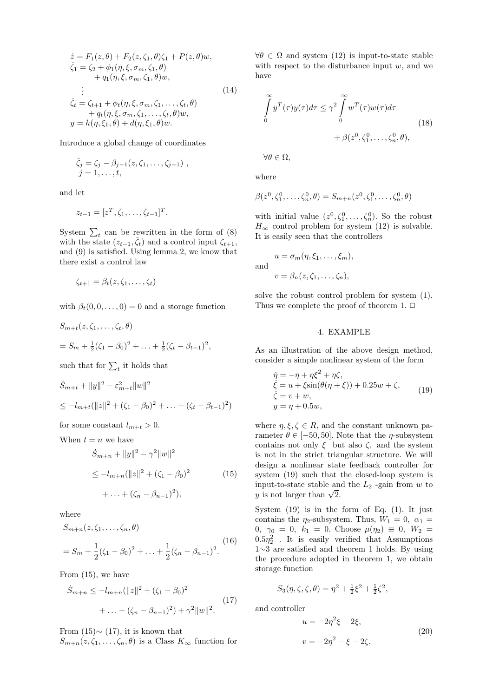$$
\begin{aligned}\n\dot{z} &= F_1(z, \theta) + F_2(z, \zeta_1, \theta) \zeta_1 + P(z, \theta) w, \\
\dot{\zeta}_1 &= \zeta_2 + \phi_1(\eta, \xi, \sigma_m, \zeta_1, \theta) \\
&\quad + q_1(\eta, \xi, \sigma_m, \zeta_1, \theta) w, \\
&\vdots \\
\dot{\zeta}_t &= \zeta_{t+1} + \phi_t(\eta, \xi, \sigma_m, \zeta_1, \dots, \zeta_t, \theta) \\
&\quad + q_t(\eta, \xi, \sigma_m, \zeta_1, \dots, \zeta_t, \theta) w, \\
y &= h(\eta, \xi_1, \theta) + d(\eta, \xi_1, \theta) w.\n\end{aligned} \tag{14}
$$

Introduce a global change of coordinates

$$
\bar{\zeta}_j = \zeta_j - \beta_{j-1}(z, \zeta_1, \dots, \zeta_{j-1}), \nj = 1, \dots, t,
$$

and let

$$
z_{t-1}=[z^T,\overline{\zeta}_1,\ldots,\overline{\zeta}_{t-1}]^T.
$$

System  $\sum_{t}$  can be rewritten in the form of (8) with the state  $(z_{t-1}, \bar{\zeta}_t)$  and a control input  $\zeta_{t+1}$ , and (9) is satisfied. Using lemma 2, we know that there exist a control law

$$
\zeta_{t+1} = \beta_t(z, \zeta_1, \ldots, \zeta_t)
$$

with  $\beta_t(0, 0, \dots, 0) = 0$  and a storage function

$$
S_{m+t}(z, \zeta_1, \dots, \zeta_t, \theta)
$$
  
=  $S_m + \frac{1}{2}(\zeta_1 - \beta_0)^2 + \dots + \frac{1}{2}(\zeta_t - \beta_{t-1})^2$ ,

such that for  $\sum_t$  it holds that

$$
\dot{S}_{m+t} + ||y||^2 - \varepsilon_{m+t}^2 ||w||^2
$$
  
\n
$$
\leq -l_{m+t} (||z||^2 + (\zeta_1 - \beta_0)^2 + \dots + (\zeta_t - \beta_{t-1})^2)
$$

for some constant  $l_{m+t} > 0$ .

When  $t = n$  we have

$$
\dot{S}_{m+n} + ||y||^2 - \gamma^2 ||w||^2
$$
  
\n
$$
\leq -l_{m+n} (||z||^2 + (\zeta_1 - \beta_0)^2
$$
  
\n
$$
+ \ldots + (\zeta_n - \beta_{n-1})^2),
$$
\n(15)

where

$$
S_{m+n}(z, \zeta_1, \dots, \zeta_n, \theta)
$$
  
=  $S_m + \frac{1}{2}(\zeta_1 - \beta_0)^2 + \dots + \frac{1}{2}(\zeta_n - \beta_{n-1})^2$ . (16)

From (15), we have

$$
\dot{S}_{m+n} \le -l_{m+n}(\|z\|^2 + (\zeta_1 - \beta_0)^2 + \ldots + (\zeta_n - \beta_{n-1})^2) + \gamma^2 \|w\|^2.
$$
\n(17)

From  $(15) \sim (17)$ , it is known that

 $S_{m+n}(z,\zeta_1,\ldots,\zeta_n,\theta)$  is a Class  $K_{\infty}$  function for

 $\forall \theta \in \Omega$  and system (12) is input-to-state stable with respect to the disturbance input  $w$ , and we have

$$
\int_{0}^{\infty} y^{T}(\tau)y(\tau)d\tau \leq \gamma^{2} \int_{0}^{\infty} w^{T}(\tau)w(\tau)d\tau
$$
\n
$$
+ \beta(z^{0}, \zeta_{1}^{0}, \dots, \zeta_{n}^{0}, \theta),
$$
\n(18)

 $\forall \theta \in \Omega,$ 

where

$$
\beta(z^{0}, \zeta_{1}^{0}, \dots, \zeta_{n}^{0}, \theta) = S_{m+n}(z^{0}, \zeta_{1}^{0}, \dots, \zeta_{n}^{0}, \theta)
$$

with initial value  $(z^0, \zeta_1^0, \ldots, \zeta_n^0)$ . So the robust  $H_{\infty}$  control problem for system (12) is solvable. It is easily seen that the controllers

and  
\n
$$
u = \sigma_m(\eta, \xi_1, \dots, \xi_m),
$$
\n
$$
v = \beta_n(z, \zeta_1, \dots, \zeta_n),
$$

solve the robust control problem for system (1). Thus we complete the proof of theorem 1.  $\Box$ 

## 4. EXAMPLE

As an illustration of the above design method, consider a simple nonlinear system of the form

$$
\begin{aligned}\n\dot{\eta} &= -\eta + \eta \xi^2 + \eta \zeta, \\
\dot{\xi} &= u + \xi \sin(\theta(\eta + \xi)) + 0.25w + \zeta, \\
\dot{\zeta} &= v + w, \\
y &= \eta + 0.5w,\n\end{aligned} \tag{19}
$$

where  $\eta, \xi, \zeta \in R$ , and the constant unknown parameter  $\theta \in [-50, 50]$ . Note that the  $\eta$ -subsystem contains not only  $\xi$  but also  $\zeta$ , and the system is not in the strict triangular structure. We will design a nonlinear state feedback controller for system (19) such that the closed-loop system is input-to-state stable and the  $L_2$ -gain from w to mput-to-state stable an<br>y is not larger than  $\sqrt{2}$ .

System  $(19)$  is in the form of Eq.  $(1)$ . It just contains the  $\eta_2$ -subsystem. Thus,  $W_1 = 0$ ,  $\alpha_1 =$ 0,  $\gamma_0 = 0$ ,  $k_1 = 0$ . Choose  $\mu(\eta_2) \equiv 0$ ,  $W_2 =$  $0.5\eta_2^2$ . It is easily verified that Assumptions 1∼3 are satisfied and theorem 1 holds. By using the procedure adopted in theorem 1, we obtain storage function

$$
S_3(\eta, \zeta, \zeta, \theta) = \eta^2 + \frac{1}{2}\xi^2 + \frac{1}{2}\zeta^2,
$$

and controller

$$
u = -2\eta^2 \xi - 2\xi,
$$
  
\n
$$
v = -2\eta^2 - \xi - 2\zeta.
$$
 (20)